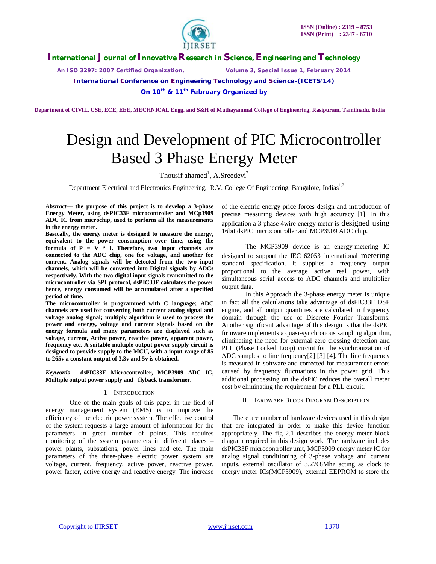

*An ISO 3297: 2007 Certified Organization, Volume 3, Special Issue 1, February 2014*

**International Conference on Engineering Technology and Science-(ICETS'14)**

**On 10th & 11th February Organized by**

 **Department of CIVIL, CSE, ECE, EEE, MECHNICAL Engg. and S&H of Muthayammal College of Engineering, Rasipuram, Tamilnadu, India**

# Design and Development of PIC Microcontroller Based 3 Phase Energy Meter

Thousif ahamed<sup>1</sup>, A.Sreedevi<sup>2</sup>

Department Electrical and Electronics Engineering, R.V. College Of Engineering, Bangalore, Indias<sup>1,2</sup>

*Abstract***— the purpose of this project is to develop a 3-phase Energy Meter, using dsPIC33F microcontroller and MCp3909 ADC IC from microchip, used to perform all the measurements in the energy meter.**

**Basically, the energy meter is designed to measure the energy, equivalent to the power consumption over time, using the**  formula of  $P = V * I$ . Therefore, two input channels are **connected to the ADC chip, one for voltage, and another for current. Analog signals will be detected from the two input channels, which will be converted into Digital signals by ADCs respectively. With the two digital input signals transmitted to the microcontroller via SPI protocol, dsPIC33F calculates the power hence, energy consumed will be accumulated after a specified period of time.** 

**The microcontroller is programmed with C language; ADC channels are used for converting both current analog signal and voltage analog signal; multiply algorithm is used to process the power and energy, voltage and current signals based on the energy formula and many parameters are displayed such as voltage, current, Active power, reactive power, apparent power, frequency etc. A suitable multiple output power supply circuit is designed to provide supply to the MCU, with a input range of 85 to 265v a constant output of 3.3v and 5v is obtained.**

*Keywords***— dsPIC33F Microcontroller, MCP3909 ADC IC, Multiple output power supply and flyback transformer.**

#### I. INTRODUCTION

One of the main goals of this paper in the field of energy management system (EMS) is to improve the efficiency of the electric power system. The effective control of the system requests a large amount of information for the parameters in great number of points. This requires monitoring of the system parameters in different places – power plants, substations, power lines and etc. The main parameters of the three-phase electric power system are voltage, current, frequency, active power, reactive power, power factor, active energy and reactive energy. The increase

of the electric energy price forces design and introduction of precise measuring devices with high accuracy [1]. In this application a 3-phase 4wire energy meter is designed using 16bit dsPIC microcontroller and MCP3909 ADC chip.

The MCP3909 device is an energy-metering IC designed to support the IEC 62053 international metering standard specification. It supplies a frequency output proportional to the average active real power, with simultaneous serial access to ADC channels and multiplier output data.

In this Approach the 3-phase energy meter is unique in fact all the calculations take advantage of dsPIC33F DSP engine, and all output quantities are calculated in frequency domain through the use of Discrete Fourier Transforms. Another significant advantage of this design is that the dsPIC firmware implements a quasi-synchronous sampling algorithm, eliminating the need for external zero-crossing detection and PLL (Phase Locked Loop) circuit for the synchronization of ADC samples to line frequency[2] [3] [4]. The line frequency is measured in software and corrected for measurement errors caused by frequency fluctuations in the power grid. This additional processing on the dsPIC reduces the overall meter cost by eliminating the requirement for a PLL circuit.

#### II. HARDWARE BLOCK DIAGRAM DESCRIPTION

There are number of hardware devices used in this design that are integrated in order to make this device function appropriately. The fig 2.1 describes the energy meter block diagram required in this design work. The hardware includes dsPIC33F microcontroller unit, MCP3909 energy meter IC for analog signal conditioning of 3-phase voltage and current inputs, external oscillator of 3.2768Mhz acting as clock to energy meter ICs(MCP3909), external EEPROM to store the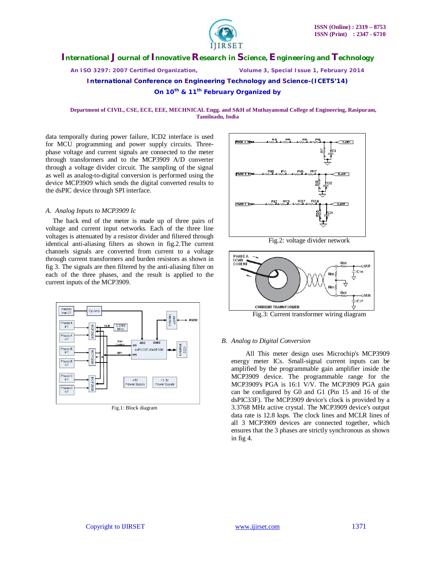

*An ISO 3297: 2007 Certified Organization, Volume 3, Special Issue 1, February 2014*

**International Conference on Engineering Technology and Science-(ICETS'14)**

**On 10th & 11th February Organized by**

 **Department of CIVIL, CSE, ECE, EEE, MECHNICAL Engg. and S&H of Muthayammal College of Engineering, Rasipuram, Tamilnadu, India**

data temporally during power failure, ICD2 interface is used for MCU programming and power supply circuits. Threephase voltage and current signals are connected to the meter through transformers and to the MCP3909 A/D converter through a voltage divider circuit. The sampling of the signal as well as analog-to-digital conversion is performed using the device MCP3909 which sends the digital converted results to the dsPIC device through SPI interface.

#### *A. Analog Inputs to MCP3909 Ic*

The back end of the meter is made up of three pairs of voltage and current input networks. Each of the three line voltages is attenuated by a resistor divider and filtered through identical anti-aliasing filters as shown in fig.2.The current channels signals are converted from current to a voltage through current transformers and burden resistors as shown in fig 3. The signals are then filtered by the anti-aliasing filter on each of the three phases, and the result is applied to the current inputs of the MCP3909.



Fig.1: Block diagram



Fig.2: voltage divider network



Fig.3: Current transformer wiring diagram

#### *B. Analog to Digital Conversion*

All This meter design uses Microchip's MCP3909 energy meter ICs. Small-signal current inputs can be amplified by the programmable gain amplifier inside the MCP3909 device. The programmable range for the MCP3909's PGA is 16:1 V/V. The MCP3909 PGA gain can be configured by G0 and G1 (Pin 15 and 16 of the dsPIC33F). The MCP3909 device's clock is provided by a 3.3768 MHz active crystal. The MCP3909 device's output data rate is 12.8 ksps. The clock lines and MCLR lines of all 3 MCP3909 devices are connected together, which ensures that the 3 phases are strictly synchronous as shown in fig 4.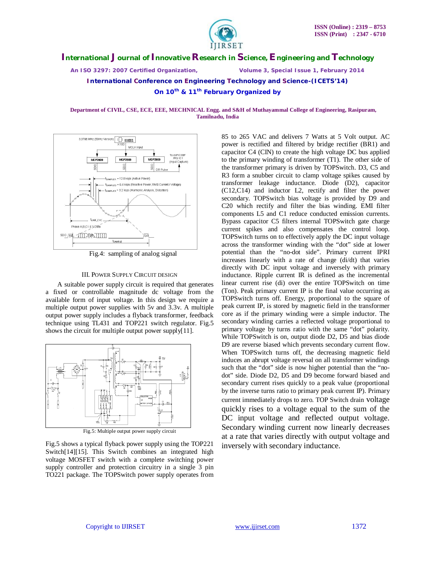

*An ISO 3297: 2007 Certified Organization, Volume 3, Special Issue 1, February 2014*

**International Conference on Engineering Technology and Science-(ICETS'14)**

**On 10th & 11th February Organized by**

#### **Department of CIVIL, CSE, ECE, EEE, MECHNICAL Engg. and S&H of Muthayammal College of Engineering, Rasipuram, Tamilnadu, India**



Fig.4: sampling of analog signal

## III. POWER SUPPLY CIRCUIT DESIGN

 A suitable power supply circuit is required that generates a fixed or controllable magnitude dc voltage from the available form of input voltage. In this design we require a multiple output power supplies with 5v and 3.3v. A multiple output power supply includes a flyback transformer, feedback technique using TL431 and TOP221 switch regulator. Fig.5 shows the circuit for multiple output power supply[11].



Fig.5: Multiple output power supply circuit

Fig.5 shows a typical flyback power supply using the TOP221 Switch[14][15]. This Switch combines an integrated high voltage MOSFET switch with a complete switching power supply controller and protection circuitry in a single 3 pin TO221 package. The TOPSwitch power supply operates from

85 to 265 VAC and delivers 7 Watts at 5 Volt output. AC power is rectified and filtered by bridge rectifier (BR1) and capacitor C4 (CIN) to create the high voltage DC bus applied to the primary winding of transformer (T1). The other side of the transformer primary is driven by TOPSwitch. D3, C5 and R3 form a snubber circuit to clamp voltage spikes caused by transformer leakage inductance. Diode (D2), capacitor (C12,C14) and inductor L2, rectify and filter the power secondary. TOPSwitch bias voltage is provided by D9 and C20 which rectify and filter the bias winding. EMI filter components L5 and C1 reduce conducted emission currents. Bypass capacitor C5 filters internal TOPSwitch gate charge current spikes and also compensates the control loop. TOPSwitch turns on to effectively apply the DC input voltage across the transformer winding with the "dot" side at lower potential than the "no-dot side". Primary current IPRI increases linearly with a rate of change (di/dt) that varies directly with DC input voltage and inversely with primary inductance. Ripple current IR is defined as the incremental linear current rise (di) over the entire TOPSwitch on time (Ton). Peak primary current IP is the final value occurring as TOPSwitch turns off. Energy, proportional to the square of peak current IP, is stored by magnetic field in the transformer core as if the primary winding were a simple inductor. The secondary winding carries a reflected voltage proportional to primary voltage by turns ratio with the same "dot" polarity. While TOPSwitch is on, output diode D2, D5 and bias diode D9 are reverse biased which prevents secondary current flow. When TOPSwitch turns off, the decreasing magnetic field induces an abrupt voltage reversal on all transformer windings such that the "dot" side is now higher potential than the "nodot" side. Diode D2, D5 and D9 become forward biased and secondary current rises quickly to a peak value (proportional by the inverse turns ratio to primary peak current IP). Primary current immediately drops to zero. TOP Switch drain voltage quickly rises to a voltage equal to the sum of the DC input voltage and reflected output voltage. Secondary winding current now linearly decreases at a rate that varies directly with output voltage and inversely with secondary inductance.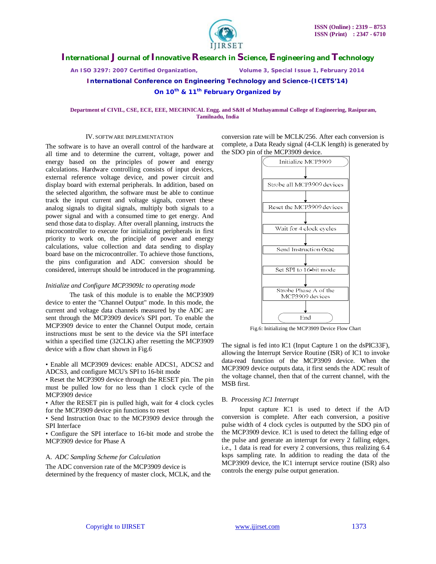

*An ISO 3297: 2007 Certified Organization, Volume 3, Special Issue 1, February 2014*

**International Conference on Engineering Technology and Science-(ICETS'14)**

**On 10th & 11th February Organized by**

#### **Department of CIVIL, CSE, ECE, EEE, MECHNICAL Engg. and S&H of Muthayammal College of Engineering, Rasipuram, Tamilnadu, India**

#### IV. SOFTWARE IMPLEMENTATION

The software is to have an overall control of the hardware at all time and to determine the current, voltage, power and energy based on the principles of power and energy calculations. Hardware controlling consists of input devices, external reference voltage device, and power circuit and display board with external peripherals. In addition, based on the selected algorithm, the software must be able to continue track the input current and voltage signals, convert these analog signals to digital signals, multiply both signals to a power signal and with a consumed time to get energy. And send those data to display. After overall planning, instructs the microcontroller to execute for initializing peripherals in first priority to work on, the principle of power and energy calculations, value collection and data sending to display board base on the microcontroller. To achieve those functions, the pins configuration and ADC conversion should be considered, interrupt should be introduced in the programming.

#### *Initialize and Configure MCP3909Ic to operating mode*

The task of this module is to enable the MCP3909 device to enter the "Channel Output" mode. In this mode, the current and voltage data channels measured by the ADC are sent through the MCP3909 device's SPI port. To enable the MCP3909 device to enter the Channel Output mode, certain instructions must be sent to the device via the SPI interface within a specified time (32CLK) after resetting the MCP3909 device with a flow chart shown in Fig.6

• Enable all MCP3909 devices: enable ADCS1, ADCS2 and ADCS3, and configure MCU's SPI to 16-bit mode

• Reset the MCP3909 device through the RESET pin. The pin must be pulled low for no less than 1 clock cycle of the MCP3909 device

• After the RESET pin is pulled high, wait for 4 clock cycles for the MCP3909 device pin functions to reset

• Send Instruction 0xac to the MCP3909 device through the SPI Interface

• Configure the SPI interface to 16-bit mode and strobe the MCP3909 device for Phase A

#### A. *ADC Sampling Scheme for Calculation*

The ADC conversion rate of the MCP3909 device is determined by the frequency of master clock, MCLK, and the conversion rate will be MCLK/256. After each conversion is complete, a Data Ready signal (4-CLK length) is generated by the SDO pin of the MCP3909 device.



Fig.6: Initializing the MCP3909 Device Flow Chart

The signal is fed into IC1 (Input Capture 1 on the dsPIC33F), allowing the Interrupt Service Routine (ISR) of IC1 to invoke data-read function of the MCP3909 device. When the MCP3909 device outputs data, it first sends the ADC result of the voltage channel, then that of the current channel, with the MSB first.

## B. *Processing IC1 Interrupt*

Input capture IC1 is used to detect if the A/D conversion is complete. After each conversion, a positive pulse width of 4 clock cycles is outputted by the SDO pin of the MCP3909 device. IC1 is used to detect the falling edge of the pulse and generate an interrupt for every 2 falling edges, i.e., 1 data is read for every 2 conversions, thus realizing 6.4 ksps sampling rate. In addition to reading the data of the MCP3909 device, the IC1 interrupt service routine (ISR) also controls the energy pulse output generation.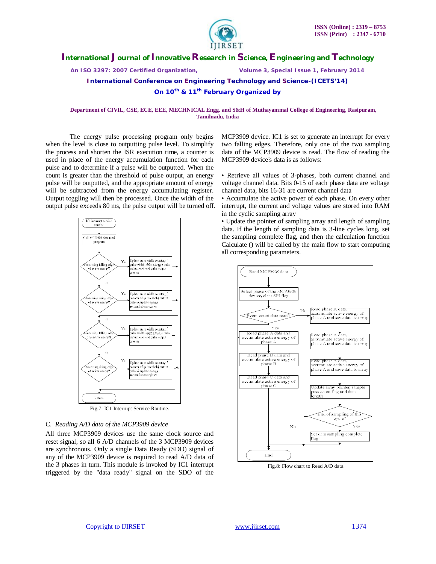

*An ISO 3297: 2007 Certified Organization, Volume 3, Special Issue 1, February 2014*

**International Conference on Engineering Technology and Science-(ICETS'14)**

**On 10th & 11th February Organized by**

 **Department of CIVIL, CSE, ECE, EEE, MECHNICAL Engg. and S&H of Muthayammal College of Engineering, Rasipuram, Tamilnadu, India**

The energy pulse processing program only begins when the level is close to outputting pulse level. To simplify the process and shorten the ISR execution time, a counter is used in place of the energy accumulation function for each pulse and to determine if a pulse will be outputted. When the count is greater than the threshold of pulse output, an energy pulse will be outputted, and the appropriate amount of energy will be subtracted from the energy accumulating register. Output toggling will then be processed. Once the width of the output pulse exceeds 80 ms, the pulse output will be turned off.



#### C. *Reading A/D data of the MCP3909 device*

All three MCP3909 devices use the same clock source and reset signal, so all 6 A/D channels of the 3 MCP3909 devices are synchronous. Only a single Data Ready (SDO) signal of any of the MCP3909 device is required to read A/D data of the 3 phases in turn. This module is invoked by IC1 interrupt triggered by the "data ready" signal on the SDO of the

MCP3909 device. IC1 is set to generate an interrupt for every two falling edges. Therefore, only one of the two sampling data of the MCP3909 device is read. The flow of reading the MCP3909 device's data is as follows:

• Retrieve all values of 3-phases, both current channel and voltage channel data. Bits 0-15 of each phase data are voltage channel data, bits 16-31 are current channel data

• Accumulate the active power of each phase. On every other interrupt, the current and voltage values are stored into RAM in the cyclic sampling array

• Update the pointer of sampling array and length of sampling data. If the length of sampling data is 3-line cycles long, set the sampling complete flag, and then the calculation function Calculate () will be called by the main flow to start computing all corresponding parameters.



Fig.8: Flow chart to Read A/D data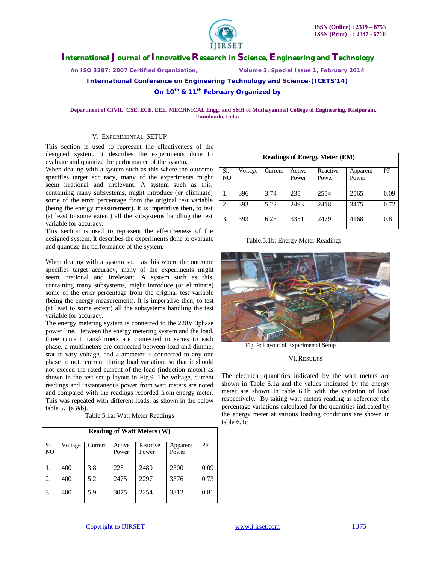

*An ISO 3297: 2007 Certified Organization, Volume 3, Special Issue 1, February 2014*

**International Conference on Engineering Technology and Science-(ICETS'14)**

**On 10th & 11th February Organized by**

#### **Department of CIVIL, CSE, ECE, EEE, MECHNICAL Engg. and S&H of Muthayammal College of Engineering, Rasipuram, Tamilnadu, India**

## V. EXPERIMENTAL SETUP

This section is used to represent the effectiveness of the designed system. It describes the experiments done to evaluate and quantize the performance of the system.

When dealing with a system such as this where the outcome specifies target accuracy, many of the experiments might seem irrational and irrelevant. A system such as this, containing many subsystems, might introduce (or eliminate) some of the error percentage from the original test variable (being the energy measurement). It is imperative then, to test (at least to some extent) all the subsystems handling the test variable for accuracy.

This section is used to represent the effectiveness of the designed system. It describes the experiments done to evaluate and quantize the performance of the system.

When dealing with a system such as this where the outcome specifies target accuracy, many of the experiments might seem irrational and irrelevant. A system such as this, containing many subsystems, might introduce (or eliminate) some of the error percentage from the original test variable (being the energy measurement). It is imperative then, to test (at least to some extent) all the subsystems handling the test variable for accuracy.

The energy metering system is connected to the 220V 3phase power line. Between the energy metering system and the load, three current transformers are connected in series to each phase, a multimeters are connected between load and dimmer stat to vary voltage, and a ammeter is connected to any one phase to note current during load variation, so that it should not exceed the rated current of the load (induction motor) as shown in the test setup layout in Fig.9. The voltage, current readings and instantaneous power from watt meters are noted and compared with the readings recorded from energy meter. This was repeated with different loads, as shown in the below table 5.1(a &b).

Table.5.1a: Watt Meter Readings

| <b>Reading of Watt Meters (W)</b> |         |         |        |          |          |      |
|-----------------------------------|---------|---------|--------|----------|----------|------|
| Sl.                               | Voltage | Current | Active | Reactive | Apparent | PF   |
| NO                                |         |         | Power  | Power    | Power    |      |
| 1.                                | 400     | 3.8     | 225    | 2489     | 2500     | 0.09 |
| 2.                                | 400     | 5.2     | 2475   | 2297     | 3376     | 0.73 |
| 3.                                | 400     | 5.9     | 3075   | 2254     | 3812     | 0.81 |

| <b>Readings of Energy Meter (EM)</b> |         |         |                 |                   |                   |      |
|--------------------------------------|---------|---------|-----------------|-------------------|-------------------|------|
| Sl.<br>NO.                           | Voltage | Current | Active<br>Power | Reactive<br>Power | Apparent<br>Power | PF   |
| 1.                                   | 396     | 3.74    | 235             | 2554              | 2565              | 0.09 |
| 2.                                   | 393     | 5.22    | 2493            | 2418              | 3475              | 0.72 |
| 3.                                   | 393     | 6.23    | 3351            | 2479              | 4168              | 0.8  |

#### Table.5.1b: Energy Meter Readings



Fig. 9: Layout of Experimental Setup

#### VI.RESULTS

The electrical quantities indicated by the watt meters are shown in Table 6.1a and the values indicated by the energy meter are shown in table 6.1b with the variation of load respectively. By taking watt meters reading as reference the percentage variations calculated for the quantities indicated by the energy meter at various loading conditions are shown in table 6.1c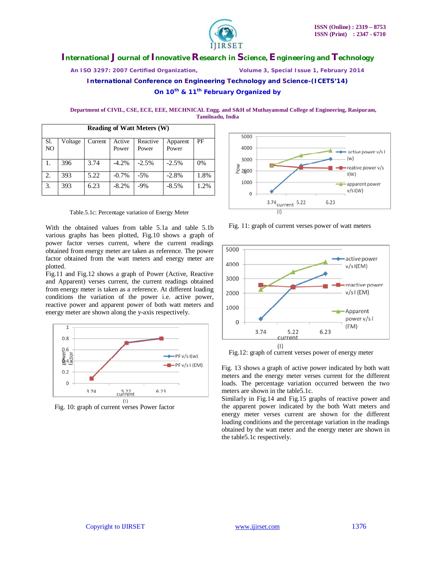

*An ISO 3297: 2007 Certified Organization, Volume 3, Special Issue 1, February 2014*

**International Conference on Engineering Technology and Science-(ICETS'14)**

**On 10th & 11th February Organized by**

 **Department of CIVIL, CSE, ECE, EEE, MECHNICAL Engg. and S&H of Muthayammal College of Engineering, Rasipuram, Tamilnadu, India**

| <b>Reading of Watt Meters (W)</b> |         |         |         |          |          |      |
|-----------------------------------|---------|---------|---------|----------|----------|------|
| Sl.                               | Voltage | Current | Active  | Reactive | Apparent | PF   |
| NO                                |         |         | Power   | Power    | Power    |      |
| 1.                                | 396     | 3.74    | $-4.2%$ | $-2.5%$  | $-2.5%$  | 0%   |
| 2.                                | 393     | 5.22    | $-0.7%$ | $-5%$    | $-2.8%$  | 1.8% |
| 3.                                | 393     | 6.23    | $-8.2%$ | $-9%$    | $-8.5%$  | 1.2% |

Table.5.1c: Percentage variation of Energy Meter

With the obtained values from table 5.1a and table 5.1b various graphs has been plotted, Fig.10 shows a graph of power factor verses current, where the current readings obtained from energy meter are taken as reference. The power factor obtained from the watt meters and energy meter are plotted.

Fig.11 and Fig.12 shows a graph of Power (Active, Reactive and Apparent) verses current, the current readings obtained from energy meter is taken as a reference. At different loading conditions the variation of the power i.e. active power, reactive power and apparent power of both watt meters and energy meter are shown along the y-axis respectively.



Fig. 10: graph of current verses Power factor



Fig. 11: graph of current verses power of watt meters



Fig.12: graph of current verses power of energy meter

Fig. 13 shows a graph of active power indicated by both watt meters and the energy meter verses current for the different loads. The percentage variation occurred between the two meters are shown in the table5.1c.

Similarly in Fig.14 and Fig.15 graphs of reactive power and the apparent power indicated by the both Watt meters and energy meter verses current are shown for the different loading conditions and the percentage variation in the readings obtained by the watt meter and the energy meter are shown in the table5.1c respectively.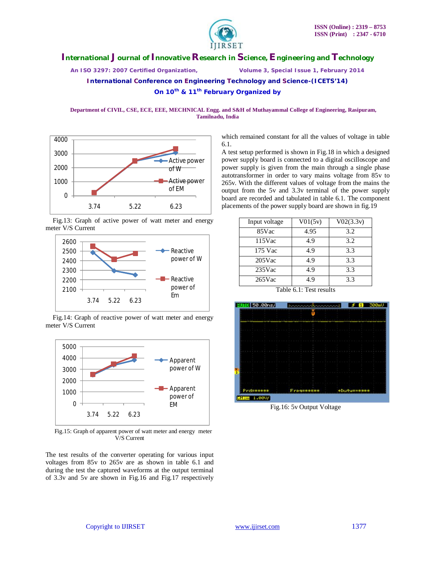

*An ISO 3297: 2007 Certified Organization, Volume 3, Special Issue 1, February 2014*

**International Conference on Engineering Technology and Science-(ICETS'14)**

**On 10th & 11th February Organized by**

 **Department of CIVIL, CSE, ECE, EEE, MECHNICAL Engg. and S&H of Muthayammal College of Engineering, Rasipuram, Tamilnadu, India**



Fig.13: Graph of active power of watt meter and energy meter V/S Current



Fig.14: Graph of reactive power of watt meter and energy meter V/S Current



Fig.15: Graph of apparent power of watt meter and energy meter V/S Current

The test results of the converter operating for various input voltages from 85v to 265v are as shown in table 6.1 and during the test the captured waveforms at the output terminal of 3.3v and 5v are shown in Fig.16 and Fig.17 respectively

which remained constant for all the values of voltage in table 6.1.

A test setup performed is shown in Fig.18 in which a designed power supply board is connected to a digital oscilloscope and power supply is given from the main through a single phase autotransformer in order to vary mains voltage from 85v to 265v. With the different values of voltage from the mains the output from the 5v and 3.3v terminal of the power supply board are recorded and tabulated in table 6.1. The component placements of the power supply board are shown in fig.19

| Input voltage | V01(5v) | V02(3.3v) |
|---------------|---------|-----------|
| 85Vac         | 4.95    | 3.2       |
| $115$ Vac     | 4.9     | 3.2       |
| 175 Vac       | 4.9     | 3.3       |
| $205$ Vac     | 4.9     | 3.3       |
| $235$ Vac     | 4.9     | 3.3       |
| $265$ Vac     | 4.9     | 3.3       |

Table 6.1: Test results



Fig.16: 5v Output Voltage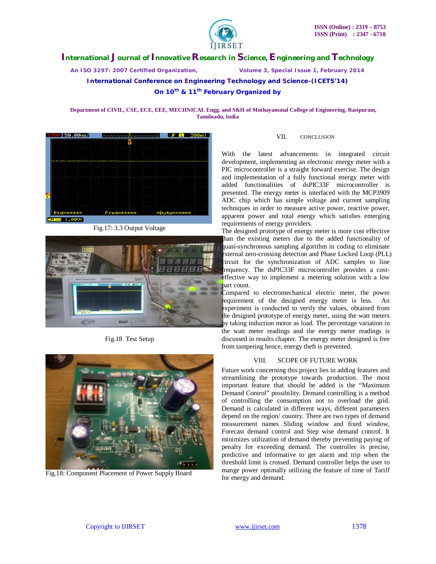

*An ISO 3297: 2007 Certified Organization, Volume 3, Special Issue 1, February 2014*

**International Conference on Engineering Technology and Science-(ICETS'14)**

## **On 10th & 11th February Organized by**

 **Department of CIVIL, CSE, ECE, EEE, MECHNICAL Engg. and S&H of Muthayammal College of Engineering, Rasipuram, Tamilnadu, India**



Fig.17: 3.3 Output Voltage



Fig.18 Test Setup



Fig.18: Component Placement of Power Supply Board

## VII. CONCLUSION

With the latest advancements in integrated circuit development, implementing an electronic energy meter with a PIC microcontroller is a straight forward exercise. The design and implementation of a fully functional energy meter with added functionalities of dsPIC33F microcontroller is presented. The energy meter is interfaced with the MCP3909 ADC chip which has simple voltage and current sampling techniques in order to measure active power, reactive power, apparent power and total energy which satisfies emerging requirements of energy providers.

The designed prototype of energy meter is more cost effective han the existing meters due to the added functionality of quasi-synchronous sampling algorithm in coding to eliminate external zero-crossing detection and Phase Locked Loop (PLL) circuit for the synchronization of ADC samples to line frequency. The dsPIC33F microcontroller provides a costeffective way to implement a metering solution with a low part count.

Compared to electromechanical electric meter, the power requirement of the designed energy meter is less. An experiment is conducted to verify the values, obtained from the designed prototype of energy meter, using the watt meters by taking induction motor as load. The percentage variation in the watt meter readings and the energy meter readings is discussed in results chapter. The energy meter designed is free from tampering hence, energy theft is prevented.

## VIII. SCOPE OF FUTURE WORK

Future work concerning this project lies in adding features and streamlining the prototype towards production. The most important feature that should be added is the "Maximum Demand Control" possibility. Demand controlling is a method of controlling the consumption not to overload the grid. Demand is calculated in different ways, different parameters depend on the region/ country. There are two types of demand measurement names Sliding window and fixed window, Forecast demand control and Step wise demand control. It minimizes utilization of demand thereby preventing paying of penalty for exceeding demand. The controller is precise, predictive and informative to get alarm and trip when the threshold limit is crossed. Demand controller helps the user to mange power optimally utilizing the feature of time of Tariff for energy and demand.